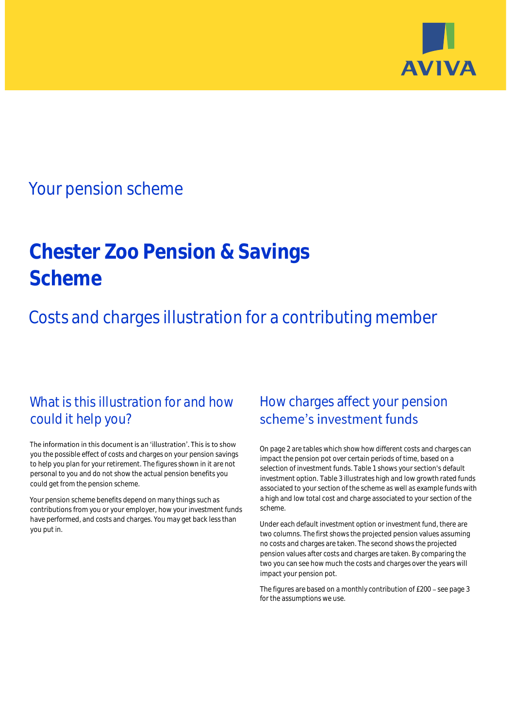

## Your pension scheme

# **Chester Zoo Pension & Savings Scheme**

Costs and charges illustration for a contributing member

## What is this illustration for and how could it help you?

### The information in this document is an 'illustration'. This is to show you the possible effect of costs and charges on your pension savings to help you plan for your retirement. The figures shown in it are not personal to you and do not show the actual pension benefits you could get from the pension scheme.

Your pension scheme benefits depend on many things such as contributions from you or your employer, how your investment funds have performed, and costs and charges. You may get back less than you put in.

## How charges affect your pension scheme's investment funds

On page 2 are tables which show how different costs and charges can impact the pension pot over certain periods of time, based on a selection of investment funds. Table 1 shows your section's default investment option. Table 3 illustrates high and low growth rated funds associated to your section of the scheme as well as example funds with a high and low total cost and charge associated to your section of the scheme.

Under each default investment option or investment fund, there are two columns. The first shows the projected pension values assuming no costs and charges are taken. The second shows the projected pension values after costs and charges are taken. By comparing the two you can see how much the costs and charges over the years will impact your pension pot.

The figures are based on a monthly contribution of £200 - see page 3 for the assumptions we use.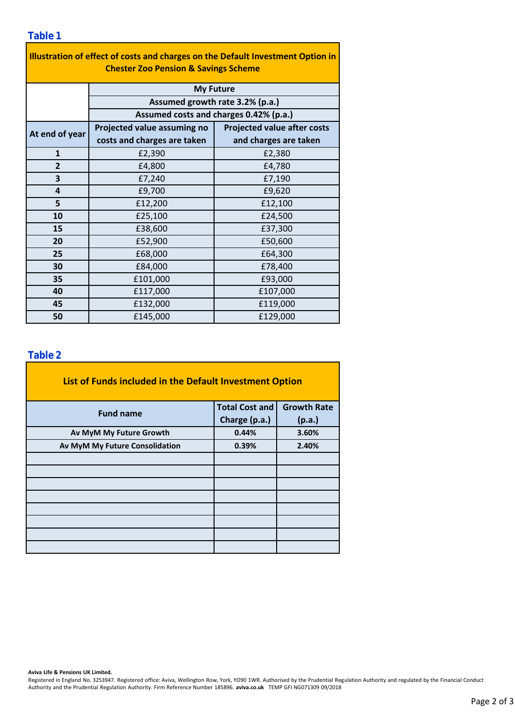### **Table 1**

| Illustration of effect of costs and charges on the Default Investment Option in<br><b>Chester Zoo Pension &amp; Savings Scheme</b> |                                                                           |                                    |  |  |  |  |  |  |
|------------------------------------------------------------------------------------------------------------------------------------|---------------------------------------------------------------------------|------------------------------------|--|--|--|--|--|--|
|                                                                                                                                    | <b>My Future</b>                                                          |                                    |  |  |  |  |  |  |
|                                                                                                                                    | Assumed growth rate 3.2% (p.a.)<br>Assumed costs and charges 0.42% (p.a.) |                                    |  |  |  |  |  |  |
|                                                                                                                                    |                                                                           |                                    |  |  |  |  |  |  |
| At end of year                                                                                                                     | Projected value assuming no                                               | <b>Projected value after costs</b> |  |  |  |  |  |  |
|                                                                                                                                    | costs and charges are taken                                               | and charges are taken              |  |  |  |  |  |  |
| $\mathbf{1}$                                                                                                                       | £2,390                                                                    | £2,380                             |  |  |  |  |  |  |
| $\overline{2}$                                                                                                                     | £4,800                                                                    | £4,780                             |  |  |  |  |  |  |
| 3                                                                                                                                  | £7,240                                                                    | £7,190                             |  |  |  |  |  |  |
| 4                                                                                                                                  | £9,700                                                                    | £9,620                             |  |  |  |  |  |  |
| 5                                                                                                                                  | £12,200                                                                   | £12,100                            |  |  |  |  |  |  |
| 10                                                                                                                                 | £25,100                                                                   | £24,500                            |  |  |  |  |  |  |
| 15                                                                                                                                 | £38,600                                                                   | £37,300                            |  |  |  |  |  |  |
| 20                                                                                                                                 | £52,900                                                                   | £50,600                            |  |  |  |  |  |  |
| 25                                                                                                                                 | £68,000                                                                   | £64,300                            |  |  |  |  |  |  |
| 30                                                                                                                                 | £84,000                                                                   | £78,400                            |  |  |  |  |  |  |
| 35                                                                                                                                 | £101,000                                                                  | £93,000                            |  |  |  |  |  |  |
| 40                                                                                                                                 | £117,000                                                                  | £107,000                           |  |  |  |  |  |  |
| 45                                                                                                                                 | £132,000                                                                  | £119,000                           |  |  |  |  |  |  |
| 50                                                                                                                                 | £145,000                                                                  | £129,000                           |  |  |  |  |  |  |

## **Table 2**

| List of Funds included in the Default Investment Option |                       |                    |
|---------------------------------------------------------|-----------------------|--------------------|
| <b>Fund name</b>                                        | <b>Total Cost and</b> | <b>Growth Rate</b> |
|                                                         | Charge (p.a.)         | (p.a.)             |
| Av MyM My Future Growth                                 | 0.44%                 | 3.60%              |
| Av MyM My Future Consolidation                          | 0.39%                 | 2.40%              |
|                                                         |                       |                    |
|                                                         |                       |                    |
|                                                         |                       |                    |
|                                                         |                       |                    |
|                                                         |                       |                    |
|                                                         |                       |                    |
|                                                         |                       |                    |
|                                                         |                       |                    |

### **Aviva Life & Pensions UK Limited.**

Registered in England No. 3253947. Registered office: Aviva, Wellington Row, York, YO90 1WR. Authorised by the Prudential Regulation Authority and regulated by the Financial Conduct Authority and the Prudential Regulation Authority. Firm Reference Number 185896. **aviva.co.uk** TEMP GFI NG071309 09/2018